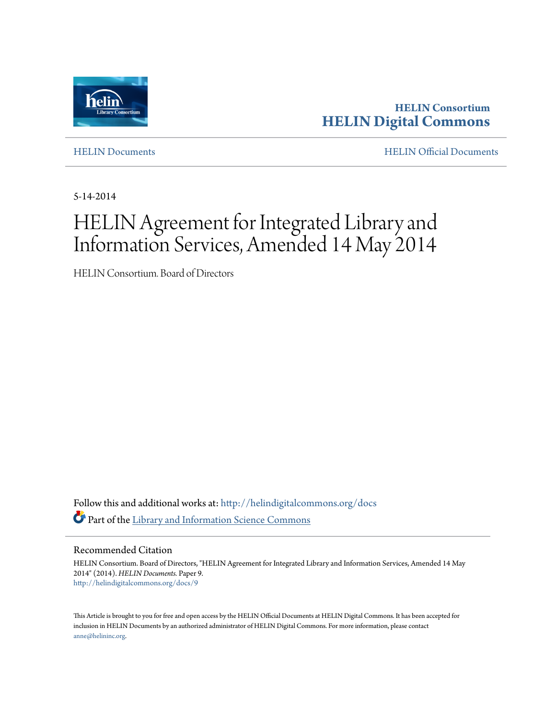

**HELIN Consortium [HELIN Digital Commons](http://helindigitalcommons.org?utm_source=helindigitalcommons.org%2Fdocs%2F9&utm_medium=PDF&utm_campaign=PDFCoverPages)**

[HELIN Documents](http://helindigitalcommons.org/docs?utm_source=helindigitalcommons.org%2Fdocs%2F9&utm_medium=PDF&utm_campaign=PDFCoverPages) [HELIN Official Documents](http://helindigitalcommons.org/documents?utm_source=helindigitalcommons.org%2Fdocs%2F9&utm_medium=PDF&utm_campaign=PDFCoverPages)

5-14-2014

# HELIN Agreement for Integrated Library and Information Services, Amended 14 May 2014

HELIN Consortium. Board of Directors

Follow this and additional works at: [http://helindigitalcommons.org/docs](http://helindigitalcommons.org/docs?utm_source=helindigitalcommons.org%2Fdocs%2F9&utm_medium=PDF&utm_campaign=PDFCoverPages) Part of the [Library and Information Science Commons](http://network.bepress.com/hgg/discipline/1018?utm_source=helindigitalcommons.org%2Fdocs%2F9&utm_medium=PDF&utm_campaign=PDFCoverPages)

Recommended Citation

HELIN Consortium. Board of Directors, "HELIN Agreement for Integrated Library and Information Services, Amended 14 May 2014" (2014). *HELIN Documents.* Paper 9. [http://helindigitalcommons.org/docs/9](http://helindigitalcommons.org/docs/9?utm_source=helindigitalcommons.org%2Fdocs%2F9&utm_medium=PDF&utm_campaign=PDFCoverPages)

This Article is brought to you for free and open access by the HELIN Official Documents at HELIN Digital Commons. It has been accepted for inclusion in HELIN Documents by an authorized administrator of HELIN Digital Commons. For more information, please contact [anne@helininc.org.](mailto:anne@helininc.org)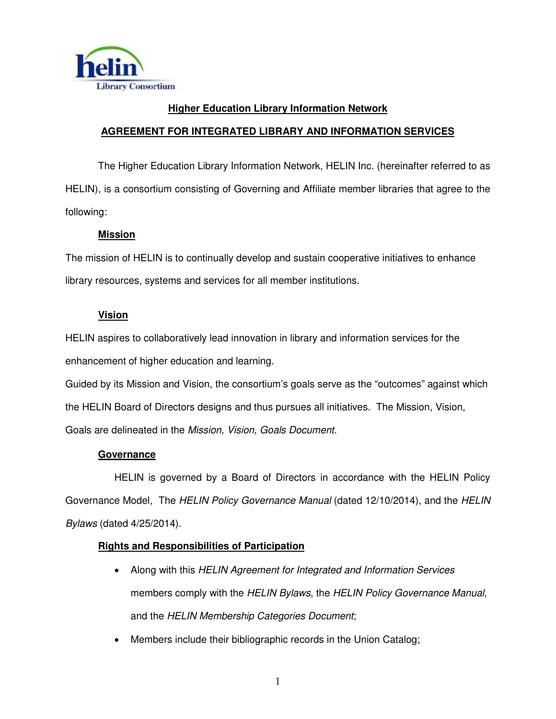

## **Higher Education Library Information Network AGREEMENT FOR INTEGRATED LIBRARY AND INFORMATION SERVICES**

 The Higher Education Library Information Network, HELIN Inc. (hereinafter referred to as HELIN), is a consortium consisting of Governing and Affiliate member libraries that agree to the following:

## **Mission**

The mission of HELIN is to continually develop and sustain cooperative initiatives to enhance library resources, systems and services for all member institutions.

## **Vision**

HELIN aspires to collaboratively lead innovation in library and information services for the enhancement of higher education and learning.

Guided by its Mission and Vision, the consortium's goals serve as the "outcomes" against which the HELIN Board of Directors designs and thus pursues all initiatives. The Mission, Vision, Goals are delineated in the Mission, Vision, Goals Document.

## **Governance**

 HELIN is governed by a Board of Directors in accordance with the HELIN Policy Governance Model, The HELIN Policy Governance Manual (dated 12/10/2014), and the HELIN Bylaws (dated 4/25/2014).

## **Rights and Responsibilities of Participation**

- Along with this HELIN Agreement for Integrated and Information Services members comply with the HELIN Bylaws, the HELIN Policy Governance Manual, and the HELIN Membership Categories Document;
- Members include their bibliographic records in the Union Catalog;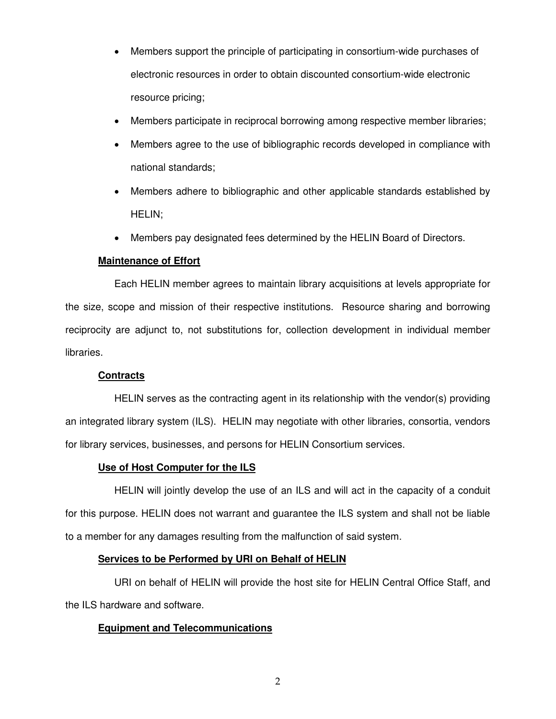- Members support the principle of participating in consortium-wide purchases of electronic resources in order to obtain discounted consortium-wide electronic resource pricing;
- Members participate in reciprocal borrowing among respective member libraries;
- Members agree to the use of bibliographic records developed in compliance with national standards;
- Members adhere to bibliographic and other applicable standards established by HELIN;
- Members pay designated fees determined by the HELIN Board of Directors.

#### **Maintenance of Effort**

Each HELIN member agrees to maintain library acquisitions at levels appropriate for the size, scope and mission of their respective institutions. Resource sharing and borrowing reciprocity are adjunct to, not substitutions for, collection development in individual member libraries.

#### **Contracts**

HELIN serves as the contracting agent in its relationship with the vendor(s) providing an integrated library system (ILS). HELIN may negotiate with other libraries, consortia, vendors for library services, businesses, and persons for HELIN Consortium services.

#### **Use of Host Computer for the ILS**

HELIN will jointly develop the use of an ILS and will act in the capacity of a conduit for this purpose. HELIN does not warrant and guarantee the ILS system and shall not be liable to a member for any damages resulting from the malfunction of said system.

#### **Services to be Performed by URI on Behalf of HELIN**

 URI on behalf of HELIN will provide the host site for HELIN Central Office Staff, and the ILS hardware and software.

#### **Equipment and Telecommunications**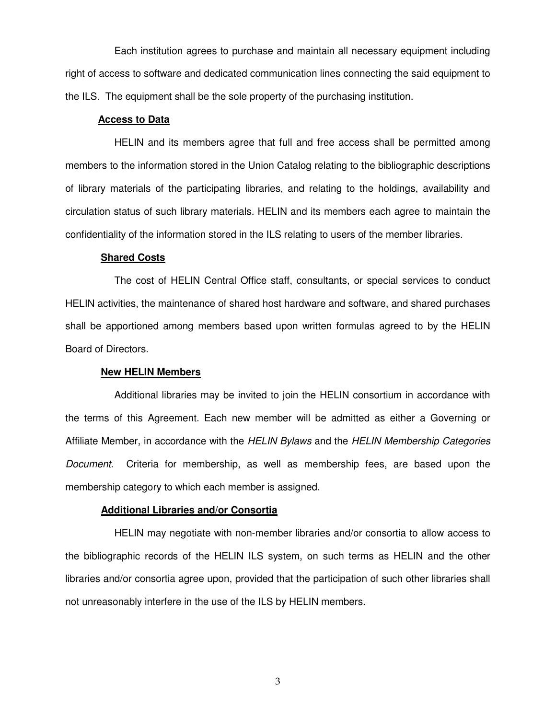Each institution agrees to purchase and maintain all necessary equipment including right of access to software and dedicated communication lines connecting the said equipment to the ILS. The equipment shall be the sole property of the purchasing institution.

#### **Access to Data**

 HELIN and its members agree that full and free access shall be permitted among members to the information stored in the Union Catalog relating to the bibliographic descriptions of library materials of the participating libraries, and relating to the holdings, availability and circulation status of such library materials. HELIN and its members each agree to maintain the confidentiality of the information stored in the ILS relating to users of the member libraries.

#### **Shared Costs**

The cost of HELIN Central Office staff, consultants, or special services to conduct HELIN activities, the maintenance of shared host hardware and software, and shared purchases shall be apportioned among members based upon written formulas agreed to by the HELIN Board of Directors.

#### **New HELIN Members**

Additional libraries may be invited to join the HELIN consortium in accordance with the terms of this Agreement. Each new member will be admitted as either a Governing or Affiliate Member, in accordance with the HELIN Bylaws and the HELIN Membership Categories Document. Criteria for membership, as well as membership fees, are based upon the membership category to which each member is assigned.

#### **Additional Libraries and/or Consortia**

HELIN may negotiate with non-member libraries and/or consortia to allow access to the bibliographic records of the HELIN ILS system, on such terms as HELIN and the other libraries and/or consortia agree upon, provided that the participation of such other libraries shall not unreasonably interfere in the use of the ILS by HELIN members.

3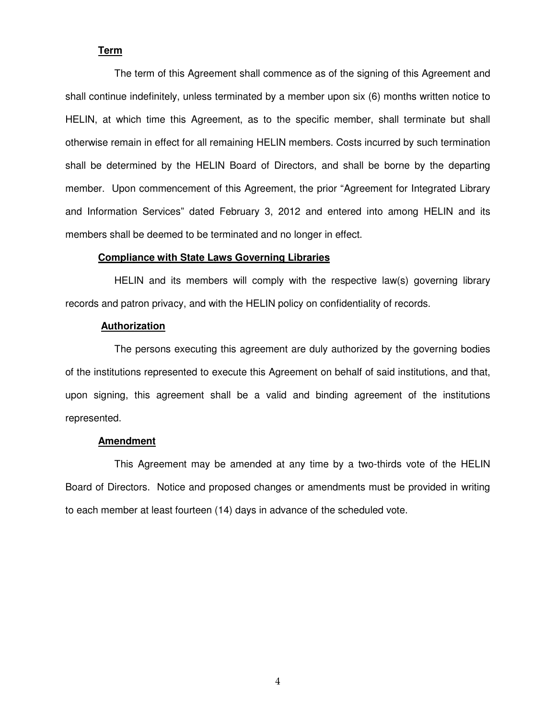#### **Term**

The term of this Agreement shall commence as of the signing of this Agreement and shall continue indefinitely, unless terminated by a member upon six (6) months written notice to HELIN, at which time this Agreement, as to the specific member, shall terminate but shall otherwise remain in effect for all remaining HELIN members. Costs incurred by such termination shall be determined by the HELIN Board of Directors, and shall be borne by the departing member. Upon commencement of this Agreement, the prior "Agreement for Integrated Library and Information Services" dated February 3, 2012 and entered into among HELIN and its members shall be deemed to be terminated and no longer in effect.

#### **Compliance with State Laws Governing Libraries**

HELIN and its members will comply with the respective law(s) governing library records and patron privacy, and with the HELIN policy on confidentiality of records.

#### **Authorization**

The persons executing this agreement are duly authorized by the governing bodies of the institutions represented to execute this Agreement on behalf of said institutions, and that, upon signing, this agreement shall be a valid and binding agreement of the institutions represented.

#### **Amendment**

This Agreement may be amended at any time by a two-thirds vote of the HELIN Board of Directors. Notice and proposed changes or amendments must be provided in writing to each member at least fourteen (14) days in advance of the scheduled vote.

4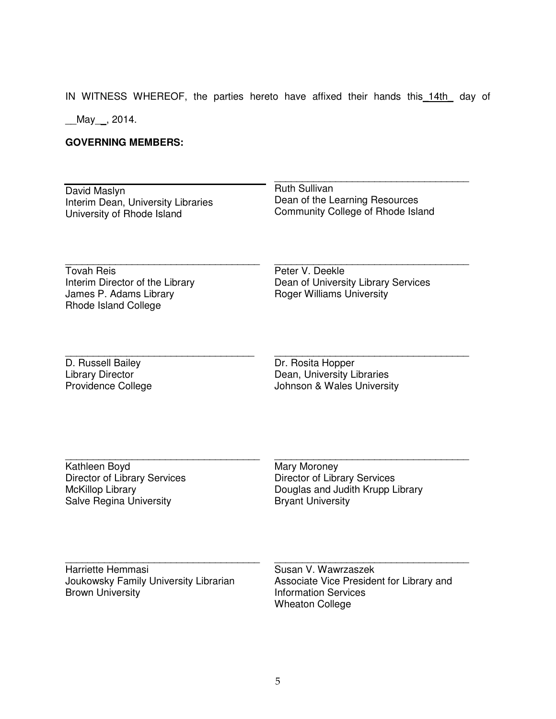IN WITNESS WHEREOF, the parties hereto have affixed their hands this 14th day of

\_\_\_\_\_\_\_\_\_\_\_\_\_\_\_\_\_\_\_\_\_\_\_\_\_\_\_\_\_\_\_\_\_\_\_

\_\_May\_\_, 2014.

## **GOVERNING MEMBERS:**

| David Maslyn                                                                                           | <b>Ruth Sullivan</b>                                                                                                     |
|--------------------------------------------------------------------------------------------------------|--------------------------------------------------------------------------------------------------------------------------|
| Interim Dean, University Libraries                                                                     | Dean of the Learning Resources                                                                                           |
| University of Rhode Island                                                                             | Community College of Rhode Island                                                                                        |
| <b>Tovah Reis</b><br>Interim Director of the Library<br>James P. Adams Library<br>Rhode Island College | Peter V. Deekle<br>Dean of University Library Services<br><b>Roger Williams University</b>                               |
| D. Russell Bailey                                                                                      | Dr. Rosita Hopper                                                                                                        |
| <b>Library Director</b>                                                                                | Dean, University Libraries                                                                                               |
| <b>Providence College</b>                                                                              | Johnson & Wales University                                                                                               |
| Kathleen Boyd                                                                                          | Mary Moroney                                                                                                             |
| <b>Director of Library Services</b>                                                                    | <b>Director of Library Services</b>                                                                                      |
| <b>McKillop Library</b>                                                                                | Douglas and Judith Krupp Library                                                                                         |
| <b>Salve Regina University</b>                                                                         | <b>Bryant University</b>                                                                                                 |
| Harriette Hemmasi<br>Joukowsky Family University Librarian<br><b>Brown University</b>                  | Susan V. Wawrzaszek<br>Associate Vice President for Library and<br><b>Information Services</b><br><b>Wheaton College</b> |